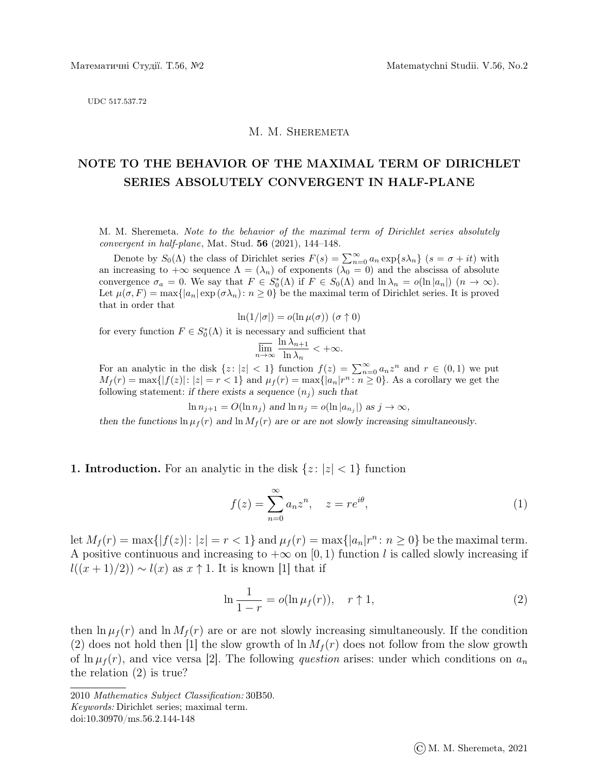UDC 517.537.72

## M. M. Sheremeta

## NOTE TO THE BEHAVIOR OF THE MAXIMAL TERM OF DIRICHLET SERIES ABSOLUTELY CONVERGENT IN HALF-PLANE

M. M. Sheremeta. Note to the behavior of the maximal term of Dirichlet series absolutely convergent in half-plane, Mat. Stud. 56 (2021), 144–148.

Denote by  $S_0(\Lambda)$  the class of Dirichlet series  $F(s) = \sum_{n=0}^{\infty} a_n \exp\{s\lambda_n\}$   $(s = \sigma + it)$  with an increasing to  $+\infty$  sequence  $\Lambda = (\lambda_n)$  of exponents  $(\lambda_0 = 0)$  and the abscissa of absolute convergence  $\sigma_a = 0$ . We say that  $F \in S_0^*(\Lambda)$  if  $F \in S_0(\Lambda)$  and  $\ln \lambda_n = o(\ln |a_n|)$   $(n \to \infty)$ . Let  $\mu(\sigma, F) = \max\{|a_n| \exp(\sigma \lambda_n): n \geq 0\}$  be the maximal term of Dirichlet series. It is proved that in order that

$$
\ln(1/|\sigma|) = o(\ln \mu(\sigma)) \; (\sigma \uparrow 0)
$$

for every function  $F \in S^*_0(\Lambda)$  it is necessary and sufficient that

$$
\overline{\lim_{n \to \infty}} \frac{\ln \lambda_{n+1}}{\ln \lambda_n} < +\infty.
$$

For an analytic in the disk  $\{z: |z| < 1\}$  function  $f(z) = \sum_{n=0}^{\infty} a_n z^n$  and  $r \in (0,1)$  we put  $M_f(r) = \max\{|f(z)|: |z| = r < 1\}$  and  $\mu_f(r) = \max\{|a_n|r^n: n \geq 0\}$ . As a corollary we get the following statement: if there exists a sequence  $(n_i)$  such that

$$
\ln n_{j+1} = O(\ln n_j) \text{ and } \ln n_j = o(\ln |a_{n_j}|) \text{ as } j \to \infty,
$$

then the functions  $\ln \mu_f(r)$  and  $\ln M_f(r)$  are or are not slowly increasing simultaneously.

## **1. Introduction.** For an analytic in the disk  $\{z : |z| < 1\}$  function

$$
f(z) = \sum_{n=0}^{\infty} a_n z^n, \quad z = re^{i\theta}, \tag{1}
$$

let  $M_f(r) = \max\{|f(z)|: |z| = r < 1\}$  and  $\mu_f(r) = \max\{|a_n|r^n: n \ge 0\}$  be the maximal term. A positive continuous and increasing to  $+\infty$  on [0, 1) function l is called slowly increasing if  $l((x+1)/2)) \sim l(x)$  as  $x \uparrow 1$ . It is known [1] that if

$$
\ln \frac{1}{1-r} = o(\ln \mu_f(r)), \quad r \uparrow 1,
$$
\n(2)

then  $\ln \mu_f(r)$  and  $\ln M_f(r)$  are or are not slowly increasing simultaneously. If the condition (2) does not hold then [1] the slow growth of  $\ln M_f(r)$  does not follow from the slow growth of  $\ln \mu_f(r)$ , and vice versa [2]. The following question arises: under which conditions on  $a_n$ the relation (2) is true?

<sup>2010</sup> Mathematics Subject Classification: 30B50. Keywords: Dirichlet series; maximal term.

doi:10.30970/ms.56.2.144-148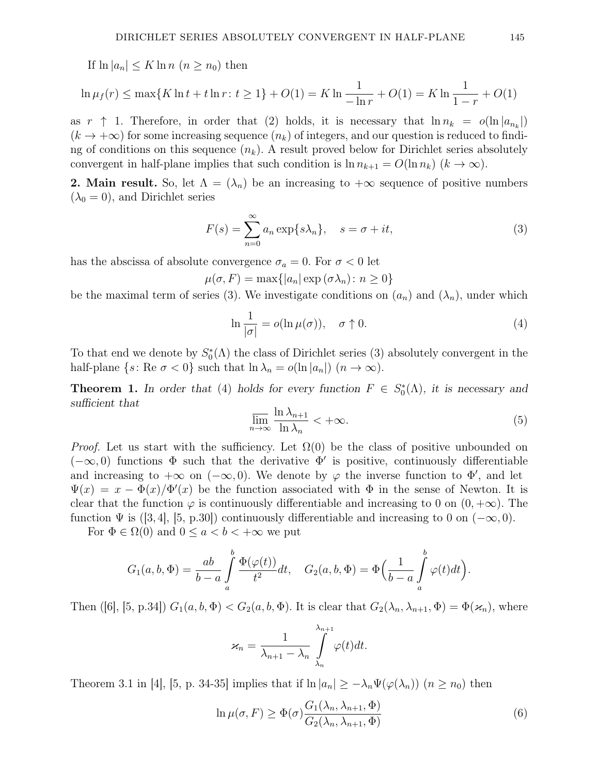If  $\ln |a_n| \leq K \ln n \ (n \geq n_0)$  then

$$
\ln \mu_f(r) \le \max\{K \ln t + t \ln r : t \ge 1\} + O(1) = K \ln \frac{1}{-\ln r} + O(1) = K \ln \frac{1}{1-r} + O(1)
$$

as  $r \uparrow 1$ . Therefore, in order that (2) holds, it is necessary that  $\ln n_k = o(\ln |a_{n_k}|)$  $(k \to +\infty)$  for some increasing sequence  $(n_k)$  of integers, and our question is reduced to finding of conditions on this sequence  $(n_k)$ . A result proved below for Dirichlet series absolutely convergent in half-plane implies that such condition is  $\ln n_{k+1} = O(\ln n_k)$   $(k \to \infty)$ .

**2. Main result.** So, let  $\Lambda = (\lambda_n)$  be an increasing to  $+\infty$  sequence of positive numbers  $(\lambda_0 = 0)$ , and Dirichlet series

$$
F(s) = \sum_{n=0}^{\infty} a_n \exp\{s\lambda_n\}, \quad s = \sigma + it,\tag{3}
$$

has the abscissa of absolute convergence  $\sigma_a = 0$ . For  $\sigma < 0$  let

$$
\mu(\sigma, F) = \max\{|a_n| \exp{(\sigma \lambda_n)} : n \ge 0\}
$$

be the maximal term of series (3). We investigate conditions on  $(a_n)$  and  $(\lambda_n)$ , under which

$$
\ln \frac{1}{|\sigma|} = o(\ln \mu(\sigma)), \quad \sigma \uparrow 0. \tag{4}
$$

To that end we denote by  $S_0^*(\Lambda)$  the class of Dirichlet series (3) absolutely convergent in the half-plane  $\{s: \text{Re } \sigma < 0\}$  such that  $\ln \lambda_n = o(\ln |a_n|)$   $(n \to \infty)$ .

**Theorem 1.** In order that (4) holds for every function  $F \in S_0^*(\Lambda)$ , it is necessary and sufficient that

$$
\overline{\lim}_{n \to \infty} \frac{\ln \lambda_{n+1}}{\ln \lambda_n} < +\infty. \tag{5}
$$

*Proof.* Let us start with the sufficiency. Let  $\Omega(0)$  be the class of positive unbounded on  $(-\infty, 0)$  functions  $\Phi$  such that the derivative  $\Phi'$  is positive, continuously differentiable and increasing to  $+\infty$  on  $(-\infty, 0)$ . We denote by  $\varphi$  the inverse function to  $\Phi'$ , and let  $\Psi(x) = x - \Phi(x)/\Phi'(x)$  be the function associated with  $\Phi$  in the sense of Newton. It is clear that the function  $\varphi$  is continuously differentiable and increasing to 0 on  $(0, +\infty)$ . The function  $\Psi$  is ([3, 4], [5, p.30]) continuously differentiable and increasing to 0 on ( $-\infty$ , 0).

For  $\Phi \in \Omega(0)$  and  $0 \le a < b < +\infty$  we put

$$
G_1(a,b,\Phi) = \frac{ab}{b-a} \int_a^b \frac{\Phi(\varphi(t))}{t^2} dt, \quad G_2(a,b,\Phi) = \Phi\left(\frac{1}{b-a} \int_a^b \varphi(t) dt\right).
$$

Then ([6], [5, p.34])  $G_1(a, b, \Phi) < G_2(a, b, \Phi)$ . It is clear that  $G_2(\lambda_n, \lambda_{n+1}, \Phi) = \Phi(\varkappa_n)$ , where

$$
\varkappa_n = \frac{1}{\lambda_{n+1} - \lambda_n} \int\limits_{\lambda_n}^{\lambda_{n+1}} \varphi(t) dt.
$$

Theorem 3.1 in [4], [5, p. 34-35] implies that if  $\ln |a_n| \geq -\lambda_n \Psi(\varphi(\lambda_n))$   $(n \geq n_0)$  then

$$
\ln \mu(\sigma, F) \ge \Phi(\sigma) \frac{G_1(\lambda_n, \lambda_{n+1}, \Phi)}{G_2(\lambda_n, \lambda_{n+1}, \Phi)}
$$
(6)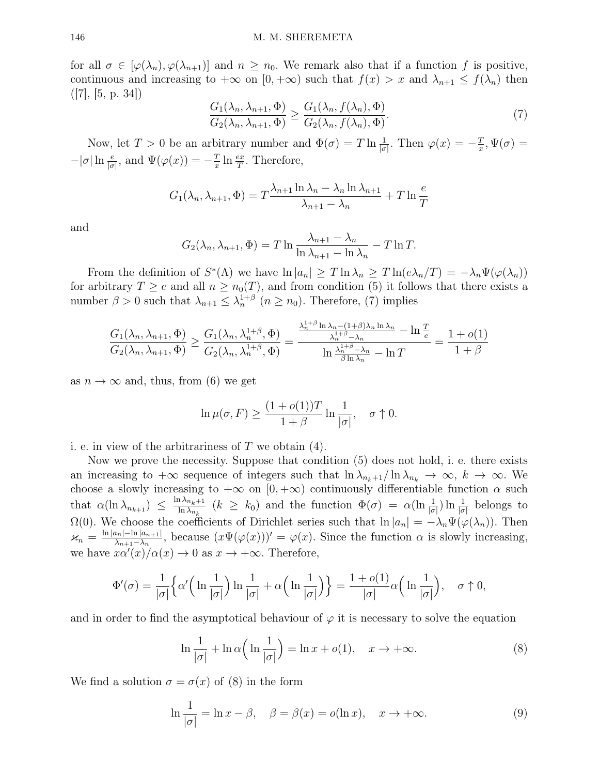for all  $\sigma \in [\varphi(\lambda_n), \varphi(\lambda_{n+1})]$  and  $n \geq n_0$ . We remark also that if a function f is positive, continuous and increasing to  $+\infty$  on  $[0, +\infty)$  such that  $f(x) > x$  and  $\lambda_{n+1} \leq f(\lambda_n)$  then  $(|7|, |5, p. 34|)$ 

$$
\frac{G_1(\lambda_n, \lambda_{n+1}, \Phi)}{G_2(\lambda_n, \lambda_{n+1}, \Phi)} \ge \frac{G_1(\lambda_n, f(\lambda_n), \Phi)}{G_2(\lambda_n, f(\lambda_n), \Phi)}.
$$
\n(7)

Now, let  $T > 0$  be an arbitrary number and  $\Phi(\sigma) = T \ln \frac{1}{|\sigma|}$ . Then  $\varphi(x) = -\frac{T}{x}$  $\frac{T}{x}, \Psi(\sigma) =$  $-|\sigma| \ln \frac{e}{|\sigma|}$ , and  $\Psi(\varphi(x)) = -\frac{T}{x}$  $rac{T}{x} \ln \frac{ex}{T}$ . Therefore,

$$
G_1(\lambda_n, \lambda_{n+1}, \Phi) = T \frac{\lambda_{n+1} \ln \lambda_n - \lambda_n \ln \lambda_{n+1}}{\lambda_{n+1} - \lambda_n} + T \ln \frac{e}{T}
$$

and

$$
G_2(\lambda_n, \lambda_{n+1}, \Phi) = T \ln \frac{\lambda_{n+1} - \lambda_n}{\ln \lambda_{n+1} - \ln \lambda_n} - T \ln T.
$$

From the definition of  $S^*(\Lambda)$  we have  $\ln |a_n| \geq T \ln \lambda_n \geq T \ln(e\lambda_n/T) = -\lambda_n \Psi(\varphi(\lambda_n))$ for arbitrary  $T \ge e$  and all  $n \ge n_0(T)$ , and from condition (5) it follows that there exists a number  $\beta > 0$  such that  $\lambda_{n+1} \leq \lambda_n^{1+\beta}$   $(n \geq n_0)$ . Therefore, (7) implies

$$
\frac{G_1(\lambda_n, \lambda_{n+1}, \Phi)}{G_2(\lambda_n, \lambda_{n+1}, \Phi)} \ge \frac{G_1(\lambda_n, \lambda_n^{1+\beta}, \Phi)}{G_2(\lambda_n, \lambda_n^{1+\beta}, \Phi)} = \frac{\frac{\lambda_n^{1+\beta} \ln \lambda_n - (1+\beta)\lambda_n \ln \lambda_n}{\lambda_n^{1+\beta} - \lambda_n} - \ln \frac{T}{e}}{\ln \frac{\lambda_n^{1+\beta} - \lambda_n}{\beta \ln \lambda_n} - \ln T} = \frac{1 + o(1)}{1 + \beta}
$$

as  $n \to \infty$  and, thus, from (6) we get

$$
\ln \mu(\sigma, F) \ge \frac{(1 + o(1))T}{1 + \beta} \ln \frac{1}{|\sigma|}, \quad \sigma \uparrow 0.
$$

i. e. in view of the arbitrariness of  $T$  we obtain  $(4)$ .

Now we prove the necessity. Suppose that condition (5) does not hold, i. e. there exists an increasing to  $+\infty$  sequence of integers such that  $\ln \lambda_{n_k+1}/\ln \lambda_{n_k} \to \infty$ ,  $k \to \infty$ . We choose a slowly increasing to  $+\infty$  on  $[0, +\infty)$  continuously differentiable function  $\alpha$  such that  $\alpha(\ln \lambda_{n_{k+1}}) \leq \frac{\ln \lambda_{n_k+1}}{\ln \lambda_n}$  $\frac{1}{\ln \lambda_{n_k}}$   $(k \ge k_0)$  and the function  $\Phi(\sigma) = \alpha(\ln \frac{1}{|\sigma|}) \ln \frac{1}{|\sigma|}$  belongs to  $\Omega(0)$ . We choose the coefficients of Dirichlet series such that  $\ln |a_n| = -\lambda_n \Psi(\varphi(\lambda_n))$ . Then  $\varkappa_n = \frac{\ln |a_n| - \ln |a_{n+1}|}{\lambda_{n+1} - \lambda_n}$  $\frac{\lambda_{n-1}-\ln|a_{n+1}|}{\lambda_{n+1}-\lambda_n}$ , because  $(x\Psi(\varphi(x)))' = \varphi(x)$ . Since the function  $\alpha$  is slowly increasing, we have  $x\alpha'(x)/\alpha(x) \to 0$  as  $x \to +\infty$ . Therefore,

$$
\Phi'(\sigma) = \frac{1}{|\sigma|} \left\{ \alpha' \left( \ln \frac{1}{|\sigma|} \right) \ln \frac{1}{|\sigma|} + \alpha \left( \ln \frac{1}{|\sigma|} \right) \right\} = \frac{1 + o(1)}{|\sigma|} \alpha \left( \ln \frac{1}{|\sigma|} \right), \quad \sigma \uparrow 0,
$$

and in order to find the asymptotical behaviour of  $\varphi$  it is necessary to solve the equation

$$
\ln \frac{1}{|\sigma|} + \ln \alpha \left( \ln \frac{1}{|\sigma|} \right) = \ln x + o(1), \quad x \to +\infty.
$$
 (8)

We find a solution  $\sigma = \sigma(x)$  of (8) in the form

$$
\ln \frac{1}{|\sigma|} = \ln x - \beta, \quad \beta = \beta(x) = o(\ln x), \quad x \to +\infty.
$$
 (9)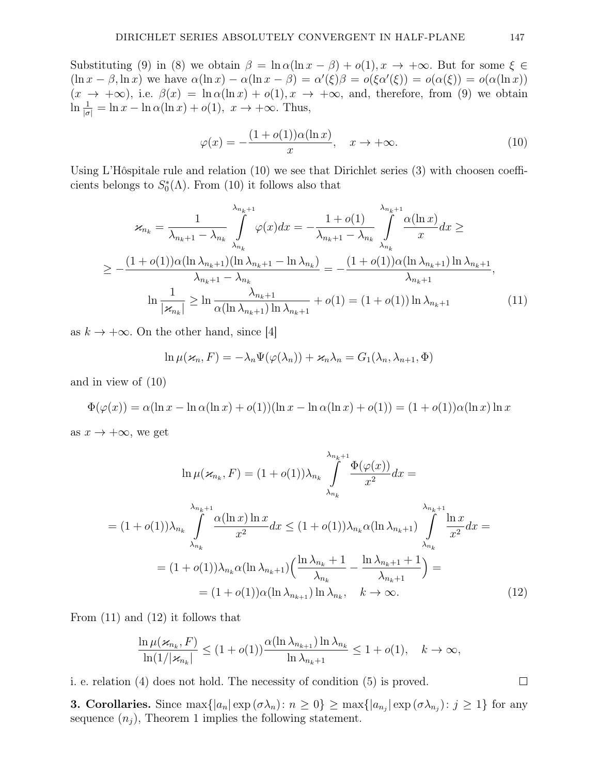Substituting (9) in (8) we obtain  $\beta = \ln \alpha (\ln x - \beta) + o(1), x \to +\infty$ . But for some  $\xi \in$  $(\ln x - \beta, \ln x)$  we have  $\alpha(\ln x) - \alpha(\ln x - \beta) = \alpha'(\xi)\beta = o(\xi\alpha'(\xi)) = o(\alpha(\xi)) = o(\alpha(\ln x))$  $(x \to +\infty)$ , i.e.  $\beta(x) = \ln \alpha(\ln x) + o(1), x \to +\infty$ , and, therefore, from (9) we obtain  $\ln \frac{1}{|\sigma|} = \ln x - \ln \alpha(\ln x) + o(1), \ x \to +\infty.$  Thus,

$$
\varphi(x) = -\frac{(1 + o(1))\alpha(\ln x)}{x}, \quad x \to +\infty.
$$
 (10)

Using L'Hôspitale rule and relation  $(10)$  we see that Dirichlet series  $(3)$  with choosen coefficients belongs to  $S_0^*(\Lambda)$ . From (10) it follows also that

$$
\varkappa_{n_k} = \frac{1}{\lambda_{n_k+1} - \lambda_{n_k}} \int_{\lambda_{n_k}}^{\lambda_{n_k+1}} \varphi(x) dx = -\frac{1 + o(1)}{\lambda_{n_k+1} - \lambda_{n_k}} \int_{\lambda_{n_k}}^{\lambda_{n_k+1}} \frac{\alpha(\ln x)}{x} dx \ge
$$
  
\n
$$
\geq -\frac{(1 + o(1))\alpha(\ln \lambda_{n_k+1})(\ln \lambda_{n_k+1} - \ln \lambda_{n_k})}{\lambda_{n_k+1} - \lambda_{n_k}} = -\frac{(1 + o(1))\alpha(\ln \lambda_{n_k+1})\ln \lambda_{n_k+1}}{\lambda_{n_k+1}},
$$
  
\n
$$
\ln \frac{1}{|\varkappa_{n_k}|} \geq \ln \frac{\lambda_{n_k+1}}{\alpha(\ln \lambda_{n_k+1})\ln \lambda_{n_k+1}} + o(1) = (1 + o(1))\ln \lambda_{n_k+1}
$$
(11)

as  $k \to +\infty$ . On the other hand, since [4]

$$
\ln \mu(\varkappa_n, F) = -\lambda_n \Psi(\varphi(\lambda_n)) + \varkappa_n \lambda_n = G_1(\lambda_n, \lambda_{n+1}, \Phi)
$$

and in view of (10)

 $\Phi(\varphi(x)) = \alpha(\ln x - \ln \alpha(\ln x) + o(1))(\ln x - \ln \alpha(\ln x) + o(1)) = (1 + o(1))\alpha(\ln x)\ln x$ 

as  $x \to +\infty$ , we get

$$
\ln \mu(\varkappa_{n_k}, F) = (1 + o(1))\lambda_{n_k} \int_{\lambda_{n_k}}^{\lambda_{n_k+1}} \frac{\Phi(\varphi(x))}{x^2} dx =
$$
\n
$$
= (1 + o(1))\lambda_{n_k} \int_{\lambda_{n_k}}^{\lambda_{n_k+1}} \frac{\alpha(\ln x) \ln x}{x^2} dx \le (1 + o(1))\lambda_{n_k} \alpha(\ln \lambda_{n_k+1}) \int_{\lambda_{n_k}}^{\lambda_{n_k+1}} \frac{\ln x}{x^2} dx =
$$
\n
$$
= (1 + o(1))\lambda_{n_k} \alpha(\ln \lambda_{n_k+1}) \left(\frac{\ln \lambda_{n_k} + 1}{\lambda_{n_k}} - \frac{\ln \lambda_{n_k+1} + 1}{\lambda_{n_k+1}}\right) =
$$
\n
$$
= (1 + o(1))\alpha(\ln \lambda_{n_{k+1}}) \ln \lambda_{n_k}, \quad k \to \infty.
$$
\n(12)

From (11) and (12) it follows that

$$
\frac{\ln \mu(\varkappa_{n_k}, F)}{\ln(1/|\varkappa_{n_k}|} \le (1+o(1)) \frac{\alpha(\ln \lambda_{n_{k+1}}) \ln \lambda_{n_k}}{\ln \lambda_{n_k+1}} \le 1+o(1), \quad k \to \infty,
$$

i. e. relation (4) does not hold. The necessity of condition (5) is proved.

**3. Corollaries.** Since  $\max\{|a_n|\exp(\sigma\lambda_n):n\geq 0\}\geq \max\{|a_{n_j}|\exp(\sigma\lambda_{n_j}):j\geq 1\}$  for any sequence  $(n_i)$ , Theorem 1 implies the following statement.

 $\Box$